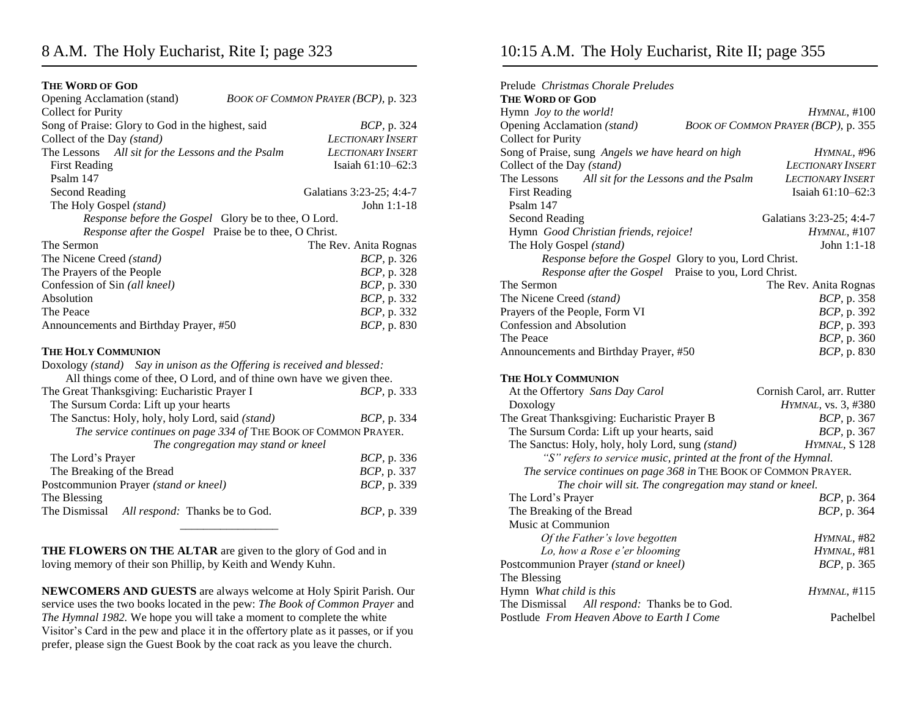## 8 A.M. The Holy Eucharist, Rite I; page 323

#### **THE WORD OF GOD**

| <b>Collect for Purity</b><br>Song of Praise: Glory to God in the highest, said<br><i>BCP</i> , p. 324<br>Collect of the Day (stand)<br><b>LECTIONARY INSERT</b><br>The Lessons All sit for the Lessons and the Psalm<br><b>LECTIONARY INSERT</b><br>Isaiah $61:10-62:3$<br><b>First Reading</b> |  |  |  |  |  |
|-------------------------------------------------------------------------------------------------------------------------------------------------------------------------------------------------------------------------------------------------------------------------------------------------|--|--|--|--|--|
|                                                                                                                                                                                                                                                                                                 |  |  |  |  |  |
|                                                                                                                                                                                                                                                                                                 |  |  |  |  |  |
|                                                                                                                                                                                                                                                                                                 |  |  |  |  |  |
|                                                                                                                                                                                                                                                                                                 |  |  |  |  |  |
| Psalm 147                                                                                                                                                                                                                                                                                       |  |  |  |  |  |
| Second Reading<br>Galatians 3:23-25; 4:4-7                                                                                                                                                                                                                                                      |  |  |  |  |  |
| The Holy Gospel (stand)<br>John 1:1-18                                                                                                                                                                                                                                                          |  |  |  |  |  |
| Response before the Gospel Glory be to thee, O Lord.                                                                                                                                                                                                                                            |  |  |  |  |  |
| Response after the Gospel Praise be to thee, O Christ.                                                                                                                                                                                                                                          |  |  |  |  |  |
| The Sermon<br>The Rev. Anita Rognas                                                                                                                                                                                                                                                             |  |  |  |  |  |
| BCP, p. 326<br>The Nicene Creed (stand)                                                                                                                                                                                                                                                         |  |  |  |  |  |
| The Prayers of the People<br>BCP, p. 328                                                                                                                                                                                                                                                        |  |  |  |  |  |
| Confession of Sin (all kneel)<br><i>BCP</i> , p. 330                                                                                                                                                                                                                                            |  |  |  |  |  |
| Absolution<br>BCP, p. 332                                                                                                                                                                                                                                                                       |  |  |  |  |  |
| The Peace<br>BCP, p. 332                                                                                                                                                                                                                                                                        |  |  |  |  |  |
| BCP, p. 830<br>Announcements and Birthday Prayer, #50                                                                                                                                                                                                                                           |  |  |  |  |  |
| <b>THE HOLY COMMUNION</b>                                                                                                                                                                                                                                                                       |  |  |  |  |  |
| Doxology (stand) Say in unison as the Offering is received and blessed:                                                                                                                                                                                                                         |  |  |  |  |  |
| All things come of thee, O Lord, and of thine own have we given thee.                                                                                                                                                                                                                           |  |  |  |  |  |
| The Great Thanksgiving: Eucharistic Prayer I<br><i>BCP</i> , p. 333                                                                                                                                                                                                                             |  |  |  |  |  |
| The Sursum Corda: Lift up your hearts                                                                                                                                                                                                                                                           |  |  |  |  |  |
| The Sanctus: Holy, holy, holy Lord, said (stand)<br><i>BCP</i> , p. 334                                                                                                                                                                                                                         |  |  |  |  |  |
| The service continues on page 334 of THE BOOK OF COMMON PRAYER.                                                                                                                                                                                                                                 |  |  |  |  |  |
| The congregation may stand or kneel                                                                                                                                                                                                                                                             |  |  |  |  |  |
| The Lord's Prayer<br><i>BCP</i> , p. 336                                                                                                                                                                                                                                                        |  |  |  |  |  |
| The Breaking of the Bread<br>BCP, p. 337                                                                                                                                                                                                                                                        |  |  |  |  |  |
| Postcommunion Prayer (stand or kneel)<br>BCP, p. 339                                                                                                                                                                                                                                            |  |  |  |  |  |
| The Blessing                                                                                                                                                                                                                                                                                    |  |  |  |  |  |
| The Dismissal<br>All respond: Thanks be to God.<br><i>BCP</i> , p. 339                                                                                                                                                                                                                          |  |  |  |  |  |

**THE FLOWERS ON THE ALTAR** are given to the glory of God and in loving memory of their son Phillip, by Keith and Wendy Kuhn.

**NEWCOMERS AND GUESTS** are always welcome at Holy Spirit Parish. Our service uses the two books located in the pew: *The Book of Common Prayer* and *The Hymnal 1982.* We hope you will take a moment to complete the white Visitor's Card in the pew and place it in the offertory plate as it passes, or if you prefer, please sign the Guest Book by the coat rack as you leave the church.

## 10:15 A.M. The Holy Eucharist, Rite II; page 355

| Prelude Christmas Chorale Preludes<br>THE WORD OF GOD            |                                     |
|------------------------------------------------------------------|-------------------------------------|
| Hymn Joy to the world!                                           | <i>HYMNAL</i> , #100                |
| Opening Acclamation (stand)                                      | BOOK OF COMMON PRAYER (BCP), p. 355 |
| <b>Collect for Purity</b>                                        |                                     |
| Song of Praise, sung Angels we have heard on high                | HYMNAL, #96                         |
| Collect of the Day (stand)                                       | <b>LECTIONARY INSERT</b>            |
| All sit for the Lessons and the Psalm<br>The Lessons             | <b>LECTIONARY INSERT</b>            |
| <b>First Reading</b>                                             | Isaiah 61:10-62:3                   |
| Psalm 147                                                        |                                     |
| Second Reading                                                   | Galatians 3:23-25; 4:4-7            |
| Hymn Good Christian friends, rejoice!                            | <i>HYMNAL,</i> #107                 |
| The Holy Gospel (stand)                                          | John 1:1-18                         |
| Response before the Gospel Glory to you, Lord Christ.            |                                     |
| Response after the Gospel Praise to you, Lord Christ.            |                                     |
| The Sermon                                                       | The Rev. Anita Rognas               |
| The Nicene Creed (stand)                                         | <i>BCP</i> , p. 358                 |
| Prayers of the People, Form VI                                   | BCP, p. 392                         |
| Confession and Absolution                                        | <i>BCP</i> , p. 393                 |
| The Peace                                                        | <i>BCP</i> , p. 360                 |
| Announcements and Birthday Prayer, #50                           | <i>BCP</i> , p. 830                 |
| THE HOLY COMMUNION                                               |                                     |
| At the Offertory Sans Day Carol                                  | Cornish Carol, arr. Rutter          |
| Doxology                                                         | HYMNAL, vs. 3, #380                 |
| The Great Thanksgiving: Eucharistic Prayer B                     | <i>BCP</i> , p. 367                 |
| The Sursum Corda: Lift up your hearts, said                      | BCP, p. 367                         |
| The Sanctus: Holy, holy, holy Lord, sung (stand)                 | HYMNAL, S 128                       |
| "S" refers to service music, printed at the front of the Hymnal. |                                     |
| The service continues on page 368 in THE BOOK OF COMMON PRAYER.  |                                     |
| The choir will sit. The congregation may stand or kneel.         |                                     |
| The Lord's Prayer                                                | <i>BCP</i> , p. 364                 |
| The Breaking of the Bread                                        | BCP, p. 364                         |
| Music at Communion                                               |                                     |
| Of the Father's love begotten                                    | HYMNAL, #82                         |
| Lo, how a Rose e'er blooming                                     | HYMNAL, #81                         |
| Postcommunion Prayer (stand or kneel)                            | <i>BCP</i> , p. 365                 |
| The Blessing                                                     |                                     |
| Hymn What child is this                                          | HYMNAL, #115                        |
| The Dismissal All respond: Thanks be to God.                     |                                     |
| Postlude From Heaven Above to Earth I Come                       | <b>Pachelbel</b>                    |